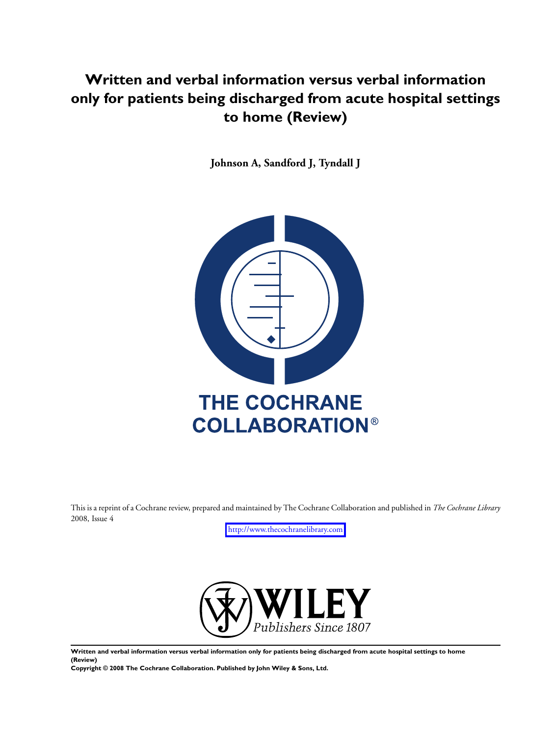# **Written and verbal information versus verbal information only for patients being discharged from acute hospital settings to home (Review)**

**Johnson A, Sandford J, Tyndall J**



This is a reprint of a Cochrane review, prepared and maintained by The Cochrane Collaboration and published in *The Cochrane Library* 2008, Issue 4

<http://www.thecochranelibrary.com>



**Written and verbal information versus verbal information only for patients being discharged from acute hospital settings to home (Review)**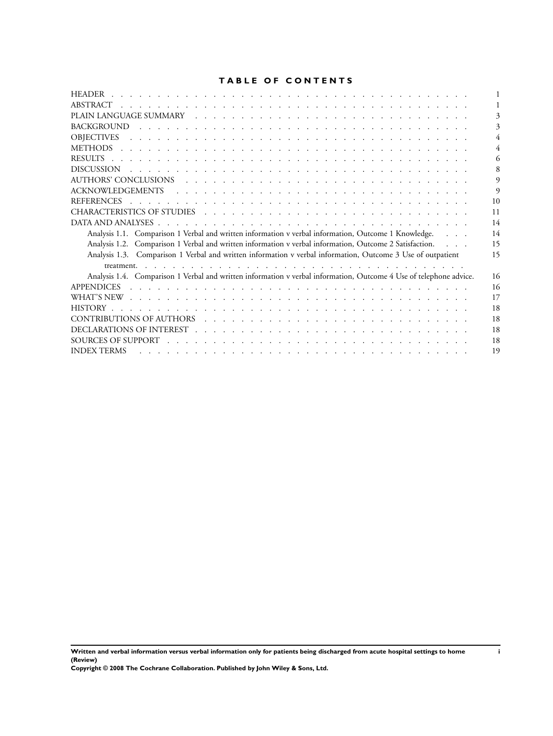## **TABLE OF CONTENTS**

| <b>HEADER</b>                                                                                                                                        |
|------------------------------------------------------------------------------------------------------------------------------------------------------|
|                                                                                                                                                      |
|                                                                                                                                                      |
| <b>BACKGROUND</b>                                                                                                                                    |
| <b>OBIECTIVES</b><br><u>. In the second terms of the second terms of the second terms of the second terms of the second</u>                          |
|                                                                                                                                                      |
| 6                                                                                                                                                    |
| <b>DISCUSSION</b><br><u>. In the second terms of the second terms of the second terms of the second terms of the second</u>                          |
| 9                                                                                                                                                    |
| 9                                                                                                                                                    |
| <b>REFERENCES</b><br>10                                                                                                                              |
| 11                                                                                                                                                   |
| 14<br>DATA AND ANALYSES                                                                                                                              |
| Analysis 1.1. Comparison 1 Verbal and written information v verbal information, Outcome 1 Knowledge.<br>14<br>$\mathbf{1}$ $\mathbf{1}$ $\mathbf{1}$ |
| Analysis 1.2. Comparison 1 Verbal and written information v verbal information, Outcome 2 Satisfaction.<br>15                                        |
| Analysis 1.3. Comparison 1 Verbal and written information v verbal information, Outcome 3 Use of outpatient<br>15                                    |
| treatment. $\ldots$ $\ldots$ $\ldots$ $\ldots$ $\ldots$ $\ldots$ $\ldots$ $\ldots$ $\ldots$ $\ldots$ $\ldots$ $\ldots$ $\ldots$ $\ldots$ $\ldots$    |
| Analysis 1.4. Comparison 1 Verbal and written information v verbal information, Outcome 4 Use of telephone advice.<br>16                             |
| <b>APPENDICES</b><br>16                                                                                                                              |
| 17                                                                                                                                                   |
| 18                                                                                                                                                   |
| 18                                                                                                                                                   |
| 18                                                                                                                                                   |
| 18                                                                                                                                                   |
| <b>INDEX TERMS</b><br>19                                                                                                                             |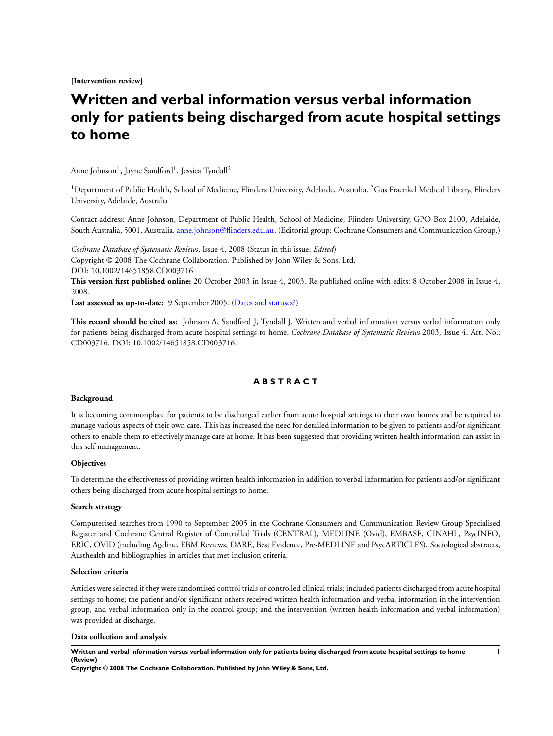**[Intervention review]**

# **Written and verbal information versus verbal information only for patients being discharged from acute hospital settings to home**

Anne Johnson $^{\rm l}$ , Jayne Sandford $^{\rm l}$ , Jessica Tyndall $^{\rm 2}$ 

<sup>1</sup>Department of Public Health, School of Medicine, Flinders University, Adelaide, Australia. <sup>2</sup>Gus Fraenkel Medical Library, Flinders University, Adelaide, Australia

Contact address: Anne Johnson, Department of Public Health, School of Medicine, Flinders University, GPO Box 2100, Adelaide, South Australia, 5001, Australia. [anne.johnson@flinders.edu.au](mailto:anne.johnson@flinders.edu.au). (Editorial group: Cochrane Consumers and Communication Group.)

*Cochrane Database of Systematic Reviews*, Issue 4, 2008 (Status in this issue: *Edited*) Copyright © 2008 The Cochrane Collaboration. Published by John Wiley & Sons, Ltd. DOI: 10.1002/14651858.CD003716

**This version first published online:** 20 October 2003 in Issue 4, 2003. Re-published online with edits: 8 October 2008 in Issue 4, 2008.

Last assessed as up-to-date: 9 September 2005. ([Dates and statuses?](http://www3.interscience.wiley.com/cgi-bin/mrwhome/106568753/DatesStatuses.pdf))

**This record should be cited as:** Johnson A, Sandford J, Tyndall J. Written and verbal information versus verbal information only for patients being discharged from acute hospital settings to home. *Cochrane Database of Systematic Reviews* 2003, Issue 4. Art. No.: CD003716. DOI: 10.1002/14651858.CD003716.

## **A B S T R A C T**

#### **Background**

It is becoming commonplace for patients to be discharged earlier from acute hospital settings to their own homes and be required to manage various aspects of their own care. This has increased the need for detailed information to be given to patients and/or significant others to enable them to effectively manage care at home. It has been suggested that providing written health information can assist in this self management.

#### **Objectives**

To determine the effectiveness of providing written health information in addition to verbal information for patients and/or significant others being discharged from acute hospital settings to home.

#### **Search strategy**

Computerised searches from 1990 to September 2005 in the Cochrane Consumers and Communication Review Group Specialised Register and Cochrane Central Register of Controlled Trials (CENTRAL), MEDLINE (Ovid), EMBASE, CINAHL, PsycINFO, ERIC, OVID (including Ageline, EBM Reviews, DARE, Best Evidence, Pre-MEDLINE and PsycARTICLES), Sociological abstracts, Austhealth and bibliographies in articles that met inclusion criteria.

## **Selection criteria**

Articles were selected if they were randomised control trials or controlled clinical trials; included patients discharged from acute hospital settings to home; the patient and/or significant others received written health information and verbal information in the intervention group, and verbal information only in the control group; and the intervention (written health information and verbal information) was provided at discharge.

#### **Data collection and analysis**

**Written and verbal information versus verbal information only for patients being discharged from acute hospital settings to home 1 (Review)**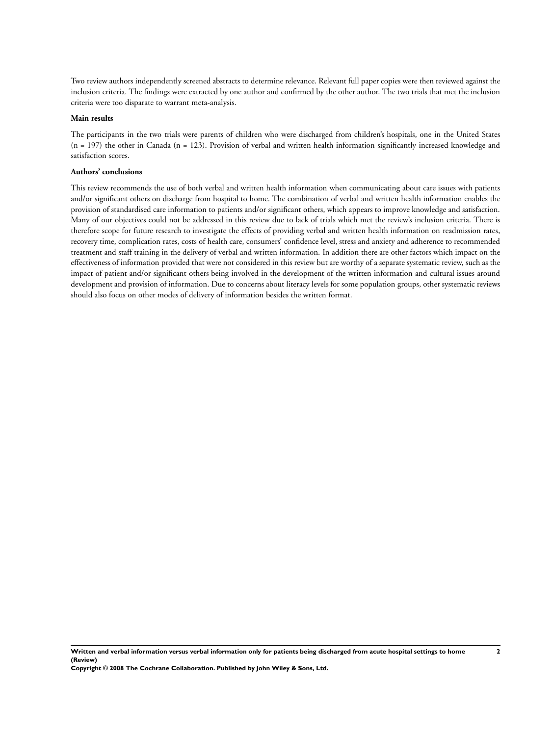Two review authors independently screened abstracts to determine relevance. Relevant full paper copies were then reviewed against the inclusion criteria. The findings were extracted by one author and confirmed by the other author. The two trials that met the inclusion criteria were too disparate to warrant meta-analysis.

#### **Main results**

The participants in the two trials were parents of children who were discharged from children's hospitals, one in the United States  $(n = 197)$  the other in Canada  $(n = 123)$ . Provision of verbal and written health information significantly increased knowledge and satisfaction scores.

#### **Authors' conclusions**

This review recommends the use of both verbal and written health information when communicating about care issues with patients and/or significant others on discharge from hospital to home. The combination of verbal and written health information enables the provision of standardised care information to patients and/or significant others, which appears to improve knowledge and satisfaction. Many of our objectives could not be addressed in this review due to lack of trials which met the review's inclusion criteria. There is therefore scope for future research to investigate the effects of providing verbal and written health information on readmission rates, recovery time, complication rates, costs of health care, consumers' confidence level, stress and anxiety and adherence to recommended treatment and staff training in the delivery of verbal and written information. In addition there are other factors which impact on the effectiveness of information provided that were not considered in this review but are worthy of a separate systematic review, such as the impact of patient and/or significant others being involved in the development of the written information and cultural issues around development and provision of information. Due to concerns about literacy levels for some population groups, other systematic reviews should also focus on other modes of delivery of information besides the written format.

**Written and verbal information versus verbal information only for patients being discharged from acute hospital settings to home 2 (Review)**

**Copyright © 2008 The Cochrane Collaboration. Published by John Wiley & Sons, Ltd.**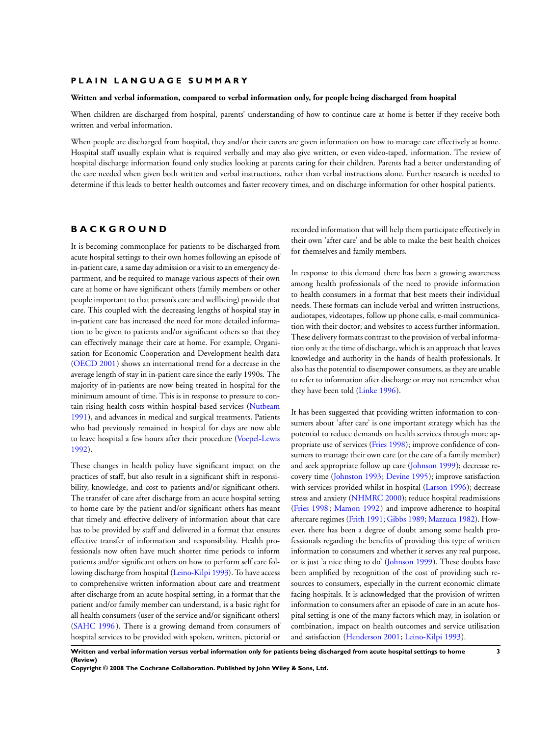#### **P L A I N L A N G U A G E S U M M A R Y**

#### **Written and verbal information, compared to verbal information only, for people being discharged from hospital**

When children are discharged from hospital, parents' understanding of how to continue care at home is better if they receive both written and verbal information.

When people are discharged from hospital, they and/or their carers are given information on how to manage care effectively at home. Hospital staff usually explain what is required verbally and may also give written, or even video-taped, information. The review of hospital discharge information found only studies looking at parents caring for their children. Parents had a better understanding of the care needed when given both written and verbal instructions, rather than verbal instructions alone. Further research is needed to determine if this leads to better health outcomes and faster recovery times, and on discharge information for other hospital patients.

## **B A C K G R O U N D**

It is becoming commonplace for patients to be discharged from acute hospital settings to their own homes following an episode of in-patient care, a same day admission or a visit to an emergency department, and be required to manage various aspects of their own care at home or have significant others (family members or other people important to that person's care and wellbeing) provide that care. This coupled with the decreasing lengths of hospital stay in in-patient care has increased the need for more detailed information to be given to patients and/or significant others so that they can effectively manage their care at home. For example, Organisation for Economic Cooperation and Development health data [\(OECD 2001](#page-11-0)) shows an international trend for a decrease in the average length of stay in in-patient care since the early 1990s. The majority of in-patients are now being treated in hospital for the minimum amount of time. This is in response to pressure to contain rising health costs within hospital-based services [\(Nutbeam](#page-11-0) [1991](#page-11-0)), and advances in medical and surgical treatments. Patients who had previously remained in hospital for days are now able to leave hospital a few hours after their procedure [\(Voepel-Lewis](#page-11-0) [1992](#page-11-0)).

These changes in health policy have significant impact on the practices of staff, but also result in a significant shift in responsibility, knowledge, and cost to patients and/or significant others. The transfer of care after discharge from an acute hospital setting to home care by the patient and/or significant others has meant that timely and effective delivery of information about that care has to be provided by staff and delivered in a format that ensures effective transfer of information and responsibility. Health professionals now often have much shorter time periods to inform patients and/or significant others on how to perform self care following discharge from hospital [\(Leino-Kilpi 1993\)](#page-11-0). To have access to comprehensive written information about care and treatment after discharge from an acute hospital setting, in a format that the patient and/or family member can understand, is a basic right for all health consumers (user of the service and/or significant others) [\(SAHC 1996](#page-11-0)). There is a growing demand from consumers of hospital services to be provided with spoken, written, pictorial or

recorded information that will help them participate effectively in their own 'after care' and be able to make the best health choices for themselves and family members.

In response to this demand there has been a growing awareness among health professionals of the need to provide information to health consumers in a format that best meets their individual needs. These formats can include verbal and written instructions, audiotapes, videotapes, follow up phone calls, e-mail communication with their doctor; and websites to access further information. These delivery formats contrast to the provision of verbal information only at the time of discharge, which is an approach that leaves knowledge and authority in the hands of health professionals. It also has the potential to disempower consumers, as they are unable to refer to information after discharge or may not remember what they have been told ([Linke 1996](#page-11-0)).

It has been suggested that providing written information to consumers about 'after care' is one important strategy which has the potential to reduce demands on health services through more appropriate use of services ([Fries 1998](#page-11-0)); improve confidence of consumers to manage their own care (or the care of a family member) and seek appropriate follow up care ([Johnson 1999](#page-11-0)); decrease recovery time ([Johnston 1993;](#page-11-0) [Devine 1995](#page-11-0)); improve satisfaction with services provided whilst in hospital ([Larson 1996](#page-11-0)); decrease stress and anxiety ([NHMRC 2000](#page-11-0)); reduce hospital readmissions [\(Fries 1998](#page-11-0); [Mamon 1992](#page-11-0)) and improve adherence to hospital aftercare regimes [\(Frith 1991](#page-11-0); [Gibbs 1989;](#page-11-0) [Mazzuca 1982](#page-11-0)). However, there has been a degree of doubt among some health professionals regarding the benefits of providing this type of written information to consumers and whether it serves any real purpose, or is just 'a nice thing to do' ([Johnson 1999](#page-11-0)). These doubts have been amplified by recognition of the cost of providing such resources to consumers, especially in the current economic climate facing hospitals. It is acknowledged that the provision of written information to consumers after an episode of care in an acute hospital setting is one of the many factors which may, in isolation or combination, impact on health outcomes and service utilisation and satisfaction [\(Henderson 2001](#page-11-0); [Leino-Kilpi 1993](#page-11-0)).

**Written and verbal information versus verbal information only for patients being discharged from acute hospital settings to home 3 (Review)**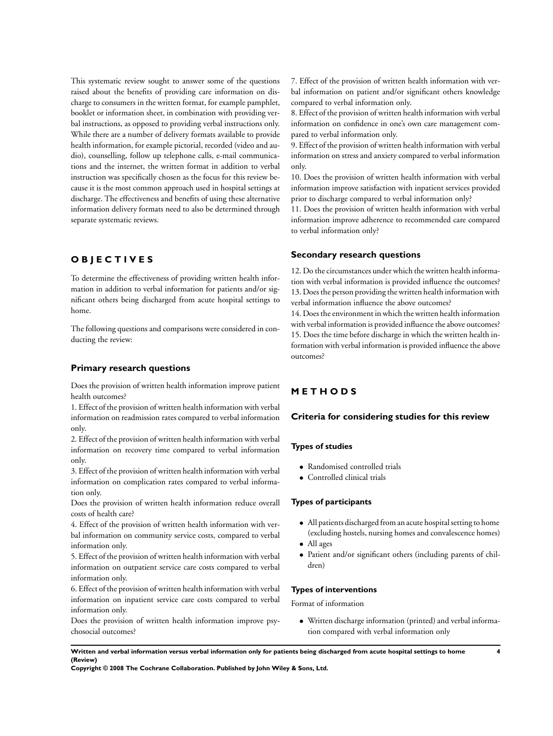This systematic review sought to answer some of the questions raised about the benefits of providing care information on discharge to consumers in the written format, for example pamphlet, booklet or information sheet, in combination with providing verbal instructions, as opposed to providing verbal instructions only. While there are a number of delivery formats available to provide health information, for example pictorial, recorded (video and audio), counselling, follow up telephone calls, e-mail communications and the internet, the written format in addition to verbal instruction was specifically chosen as the focus for this review because it is the most common approach used in hospital settings at discharge. The effectiveness and benefits of using these alternative information delivery formats need to also be determined through separate systematic reviews.

# **O B J E C T I V E S**

To determine the effectiveness of providing written health information in addition to verbal information for patients and/or significant others being discharged from acute hospital settings to home.

The following questions and comparisons were considered in conducting the review:

## **Primary research questions**

Does the provision of written health information improve patient health outcomes?

1. Effect of the provision of written health information with verbal information on readmission rates compared to verbal information only.

2. Effect of the provision of written health information with verbal information on recovery time compared to verbal information only.

3. Effect of the provision of written health information with verbal information on complication rates compared to verbal information only.

Does the provision of written health information reduce overall costs of health care?

4. Effect of the provision of written health information with verbal information on community service costs, compared to verbal information only.

5. Effect of the provision of written health information with verbal information on outpatient service care costs compared to verbal information only.

6. Effect of the provision of written health information with verbal information on inpatient service care costs compared to verbal information only.

Does the provision of written health information improve psychosocial outcomes?

7. Effect of the provision of written health information with verbal information on patient and/or significant others knowledge compared to verbal information only.

8. Effect of the provision of written health information with verbal information on confidence in one's own care management compared to verbal information only.

9. Effect of the provision of written health information with verbal information on stress and anxiety compared to verbal information only.

10. Does the provision of written health information with verbal information improve satisfaction with inpatient services provided prior to discharge compared to verbal information only?

11. Does the provision of written health information with verbal information improve adherence to recommended care compared to verbal information only?

## **Secondary research questions**

12. Do the circumstances under which the written health information with verbal information is provided influence the outcomes? 13. Does the person providing the written health information with verbal information influence the above outcomes?

14. Does the environment in which the written health information with verbal information is provided influence the above outcomes? 15. Does the time before discharge in which the written health information with verbal information is provided influence the above outcomes?

# **M E T H O D S**

## **Criteria for considering studies for this review**

## **Types of studies**

- Randomised controlled trials
- Controlled clinical trials

## **Types of participants**

- $\bullet$  All patients discharged from an acute hospital setting to home (excluding hostels, nursing homes and convalescence homes)
- All ages
- Patient and/or significant others (including parents of children)

## **Types of interventions**

Format of information

• Written discharge information (printed) and verbal information compared with verbal information only

**Written and verbal information versus verbal information only for patients being discharged from acute hospital settings to home 4 (Review)**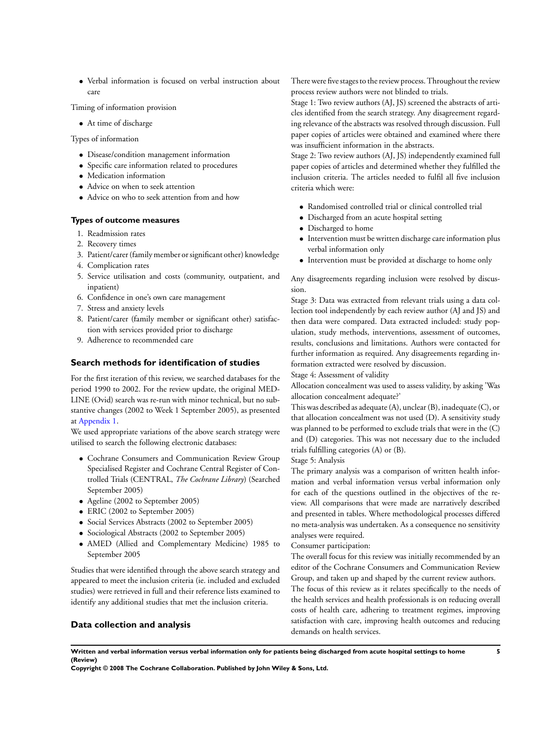• Verbal information is focused on verbal instruction about care

Timing of information provision

• At time of discharge

Types of information

- Disease/condition management information
- Specific care information related to procedures
- Medication information
- Advice on when to seek attention
- Advice on who to seek attention from and how

#### **Types of outcome measures**

- 1. Readmission rates
- 2. Recovery times
- 3. Patient/carer (family member or significant other) knowledge
- 4. Complication rates
- 5. Service utilisation and costs (community, outpatient, and inpatient)
- 6. Confidence in one's own care management
- 7. Stress and anxiety levels
- 8. Patient/carer (family member or significant other) satisfaction with services provided prior to discharge
- 9. Adherence to recommended care

## **Search methods for identification of studies**

For the first iteration of this review, we searched databases for the period 1990 to 2002. For the review update, the original MED-LINE (Ovid) search was re-run with minor technical, but no substantive changes (2002 to Week 1 September 2005), as presented at [Appendix 1](#page-17-0).

We used appropriate variations of the above search strategy were utilised to search the following electronic databases:

- Cochrane Consumers and Communication Review Group Specialised Register and Cochrane Central Register of Controlled Trials (CENTRAL, *The Cochrane Library*) (Searched September 2005)
- Ageline (2002 to September 2005)
- ERIC (2002 to September 2005)
- Social Services Abstracts (2002 to September 2005)
- Sociological Abstracts (2002 to September 2005)
- AMED (Allied and Complementary Medicine) 1985 to September 2005

Studies that were identified through the above search strategy and appeared to meet the inclusion criteria (ie. included and excluded studies) were retrieved in full and their reference lists examined to identify any additional studies that met the inclusion criteria.

#### **Data collection and analysis**

There were five stages to the review process. Throughout the review process review authors were not blinded to trials.

Stage 1: Two review authors (AJ, JS) screened the abstracts of articles identified from the search strategy. Any disagreement regarding relevance of the abstracts was resolved through discussion. Full paper copies of articles were obtained and examined where there was insufficient information in the abstracts.

Stage 2: Two review authors (AJ, JS) independently examined full paper copies of articles and determined whether they fulfilled the inclusion criteria. The articles needed to fulfil all five inclusion criteria which were:

- Randomised controlled trial or clinical controlled trial
- Discharged from an acute hospital setting
- Discharged to home
- Intervention must be written discharge care information plus verbal information only
- Intervention must be provided at discharge to home only

Any disagreements regarding inclusion were resolved by discussion.

Stage 3: Data was extracted from relevant trials using a data collection tool independently by each review author (AJ and JS) and then data were compared. Data extracted included: study population, study methods, interventions, assessment of outcomes, results, conclusions and limitations. Authors were contacted for further information as required. Any disagreements regarding information extracted were resolved by discussion.

Stage 4: Assessment of validity

Allocation concealment was used to assess validity, by asking 'Was allocation concealment adequate?'

This was described as adequate (A), unclear (B), inadequate (C), or that allocation concealment was not used (D). A sensitivity study was planned to be performed to exclude trials that were in the (C) and (D) categories. This was not necessary due to the included trials fulfilling categories (A) or (B).

Stage 5: Analysis

The primary analysis was a comparison of written health information and verbal information versus verbal information only for each of the questions outlined in the objectives of the review. All comparisons that were made are narratively described and presented in tables. Where methodological processes differed no meta-analysis was undertaken. As a consequence no sensitivity analyses were required.

Consumer participation:

The overall focus for this review was initially recommended by an editor of the Cochrane Consumers and Communication Review Group, and taken up and shaped by the current review authors.

The focus of this review as it relates specifically to the needs of the health services and health professionals is on reducing overall costs of health care, adhering to treatment regimes, improving satisfaction with care, improving health outcomes and reducing demands on health services.

**Written and verbal information versus verbal information only for patients being discharged from acute hospital settings to home 5 (Review)**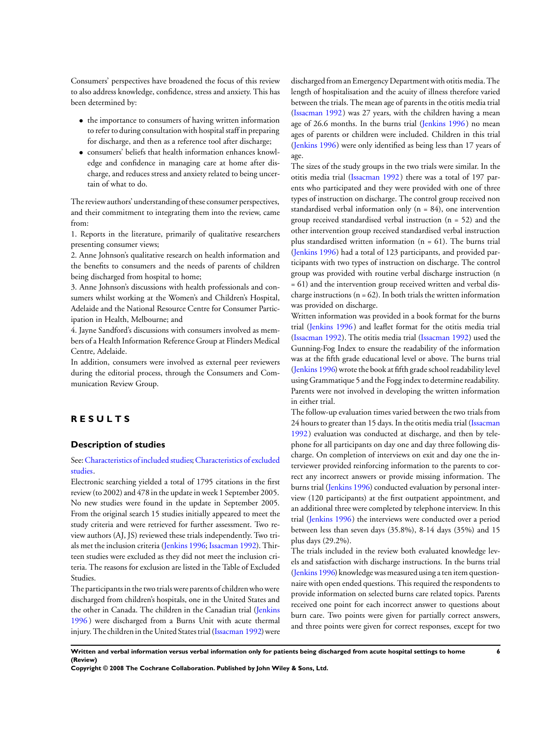Consumers' perspectives have broadened the focus of this review to also address knowledge, confidence, stress and anxiety. This has been determined by:

- the importance to consumers of having written information to refer to during consultation with hospital staff in preparing for discharge, and then as a reference tool after discharge;
- consumers' beliefs that health information enhances knowledge and confidence in managing care at home after discharge, and reduces stress and anxiety related to being uncertain of what to do.

The review authors' understanding of these consumer perspectives, and their commitment to integrating them into the review, came from:

1. Reports in the literature, primarily of qualitative researchers presenting consumer views;

2. Anne Johnson's qualitative research on health information and the benefits to consumers and the needs of parents of children being discharged from hospital to home;

3. Anne Johnson's discussions with health professionals and consumers whilst working at the Women's and Children's Hospital, Adelaide and the National Resource Centre for Consumer Participation in Health, Melbourne; and

4. Jayne Sandford's discussions with consumers involved as members of a Health Information Reference Group at Flinders Medical Centre, Adelaide.

In addition, consumers were involved as external peer reviewers during the editorial process, through the Consumers and Communication Review Group.

# **R E S U L T S**

## **Description of studies**

## See:[Characteristics of included studies;](#page-12-0)[Characteristics of excluded](#page-14-0) [studies](#page-14-0).

Electronic searching yielded a total of 1795 citations in the first review (to 2002) and 478 in the update in week 1 September 2005. No new studies were found in the update in September 2005. From the original search 15 studies initially appeared to meet the study criteria and were retrieved for further assessment. Two review authors (AJ, JS) reviewed these trials independently. Two trials met the inclusion criteria [\(Jenkins 1996](#page-11-0); [Issacman 1992\)](#page-11-0). Thirteen studies were excluded as they did not meet the inclusion criteria. The reasons for exclusion are listed in the Table of Excluded Studies.

The participants in the two trials were parents of children whowere discharged from children's hospitals, one in the United States and the other in Canada. The children in the Canadian trial ([Jenkins](#page-11-0) [1996](#page-11-0) ) were discharged from a Burns Unit with acute thermal injury. The children in the United States trial ([Issacman 1992\)](#page-11-0) were discharged from an Emergency Department with otitis media. The length of hospitalisation and the acuity of illness therefore varied between the trials. The mean age of parents in the otitis media trial [\(Issacman 1992](#page-11-0)) was 27 years, with the children having a mean age of 26.6 months. In the burns trial [\(Jenkins 1996](#page-11-0)) no mean ages of parents or children were included. Children in this trial [\(Jenkins 1996](#page-11-0)) were only identified as being less than 17 years of age.

The sizes of the study groups in the two trials were similar. In the otitis media trial ([Issacman 1992](#page-11-0)) there was a total of 197 parents who participated and they were provided with one of three types of instruction on discharge. The control group received non standardised verbal information only ( $n = 84$ ), one intervention group received standardised verbal instruction (n = 52) and the other intervention group received standardised verbal instruction plus standardised written information ( $n = 61$ ). The burns trial [\(Jenkins 1996\)](#page-11-0) had a total of 123 participants, and provided participants with two types of instruction on discharge. The control group was provided with routine verbal discharge instruction (n = 61) and the intervention group received written and verbal discharge instructions ( $n = 62$ ). In both trials the written information was provided on discharge.

Written information was provided in a book format for the burns trial [\(Jenkins 1996](#page-11-0)) and leaflet format for the otitis media trial [\(Issacman 1992\)](#page-11-0). The otitis media trial ([Issacman 1992](#page-11-0)) used the Gunning-Fog Index to ensure the readability of the information was at the fifth grade educational level or above. The burns trial [\(Jenkins 1996\)](#page-11-0) wrote the book at fifth grade school readability level using Grammatique 5 and the Fogg index to determine readability. Parents were not involved in developing the written information in either trial.

The follow-up evaluation times varied between the two trials from 24 hours to greater than 15 days. In the otitis media trial ([Issacman](#page-11-0) [1992](#page-11-0)) evaluation was conducted at discharge, and then by telephone for all participants on day one and day three following discharge. On completion of interviews on exit and day one the interviewer provided reinforcing information to the parents to correct any incorrect answers or provide missing information. The burns trial [\(Jenkins 1996](#page-11-0)) conducted evaluation by personal interview (120 participants) at the first outpatient appointment, and an additional three were completed by telephone interview. In this trial ([Jenkins 1996](#page-11-0)) the interviews were conducted over a period between less than seven days (35.8%), 8-14 days (35%) and 15 plus days (29.2%).

The trials included in the review both evaluated knowledge levels and satisfaction with discharge instructions. In the burns trial [\(Jenkins 1996\)](#page-11-0) knowledge was measured using a ten item questionnaire with open ended questions. This required the respondents to provide information on selected burns care related topics. Parents received one point for each incorrect answer to questions about burn care. Two points were given for partially correct answers, and three points were given for correct responses, except for two

**Written and verbal information versus verbal information only for patients being discharged from acute hospital settings to home 6 (Review)**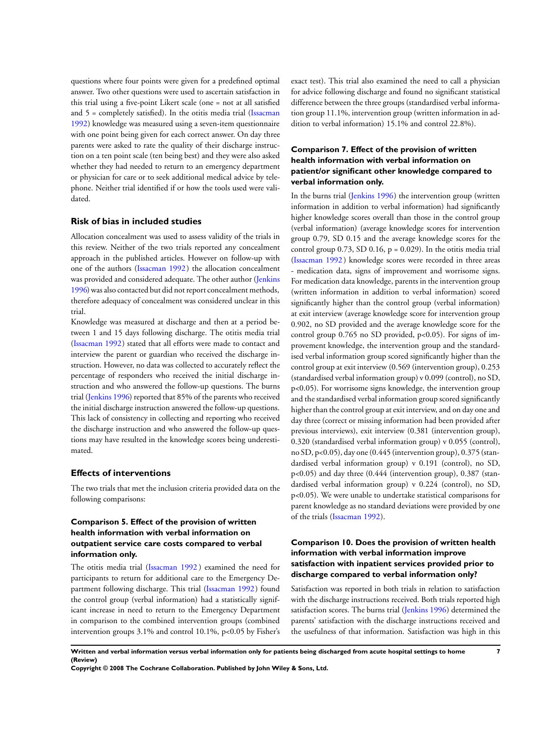questions where four points were given for a predefined optimal answer. Two other questions were used to ascertain satisfaction in this trial using a five-point Likert scale (one = not at all satisfied and 5 = completely satisfied). In the otitis media trial ([Issacman](#page-11-0) [1992](#page-11-0)) knowledge was measured using a seven-item questionnaire with one point being given for each correct answer. On day three parents were asked to rate the quality of their discharge instruction on a ten point scale (ten being best) and they were also asked whether they had needed to return to an emergency department or physician for care or to seek additional medical advice by telephone. Neither trial identified if or how the tools used were validated.

## **Risk of bias in included studies**

Allocation concealment was used to assess validity of the trials in this review. Neither of the two trials reported any concealment approach in the published articles. However on follow-up with one of the authors [\(Issacman 1992](#page-11-0)) the allocation concealment was provided and considered adequate. The other author ([Jenkins](#page-11-0) [1996\)](#page-11-0) was also contacted but did not report concealment methods, therefore adequacy of concealment was considered unclear in this trial.

Knowledge was measured at discharge and then at a period between 1 and 15 days following discharge. The otitis media trial [\(Issacman 1992](#page-11-0)) stated that all efforts were made to contact and interview the parent or guardian who received the discharge instruction. However, no data was collected to accurately reflect the percentage of responders who received the initial discharge instruction and who answered the follow-up questions. The burns trial ([Jenkins 1996\)](#page-11-0) reported that 85% of the parents who received the initial discharge instruction answered the follow-up questions. This lack of consistency in collecting and reporting who received the discharge instruction and who answered the follow-up questions may have resulted in the knowledge scores being underestimated.

#### **Effects of interventions**

The two trials that met the inclusion criteria provided data on the following comparisons:

## **Comparison 5. Effect of the provision of written health information with verbal information on outpatient service care costs compared to verbal information only.**

The otitis media trial [\(Issacman 1992](#page-11-0)) examined the need for participants to return for additional care to the Emergency Department following discharge. This trial ([Issacman 1992](#page-11-0)) found the control group (verbal information) had a statistically significant increase in need to return to the Emergency Department in comparison to the combined intervention groups (combined intervention groups 3.1% and control 10.1%, p<0.05 by Fisher's exact test). This trial also examined the need to call a physician for advice following discharge and found no significant statistical difference between the three groups (standardised verbal information group 11.1%, intervention group (written information in addition to verbal information) 15.1% and control 22.8%).

## **Comparison 7. Effect of the provision of written health information with verbal information on patient/or significant other knowledge compared to verbal information only.**

In the burns trial ([Jenkins 1996](#page-11-0)) the intervention group (written information in addition to verbal information) had significantly higher knowledge scores overall than those in the control group (verbal information) (average knowledge scores for intervention group 0.79, SD 0.15 and the average knowledge scores for the control group  $0.73$ , SD  $0.16$ ,  $p = 0.029$ ). In the otitis media trial [\(Issacman 1992](#page-11-0)) knowledge scores were recorded in three areas - medication data, signs of improvement and worrisome signs. For medication data knowledge, parents in the intervention group (written information in addition to verbal information) scored significantly higher than the control group (verbal information) at exit interview (average knowledge score for intervention group 0.902, no SD provided and the average knowledge score for the control group  $0.765$  no SD provided,  $p<0.05$ ). For signs of improvement knowledge, the intervention group and the standardised verbal information group scored significantly higher than the control group at exit interview (0.569 (intervention group), 0.253 (standardised verbal information group) v 0.099 (control), no SD, p<0.05). For worrisome signs knowledge, the intervention group and the standardised verbal information group scored significantly higher than the control group at exit interview, and on day one and day three (correct or missing information had been provided after previous interviews), exit interview (0.381 (intervention group), 0.320 (standardised verbal information group) v 0.055 (control), no SD, p<0.05), day one (0.445 (intervention group), 0.375 (standardised verbal information group) v 0.191 (control), no SD, p<0.05) and day three (0.444 (intervention group), 0.387 (standardised verbal information group) v 0.224 (control), no SD, p<0.05). We were unable to undertake statistical comparisons for parent knowledge as no standard deviations were provided by one of the trials ([Issacman 1992](#page-11-0)).

## **Comparison 10. Does the provision of written health information with verbal information improve satisfaction with inpatient services provided prior to discharge compared to verbal information only?**

Satisfaction was reported in both trials in relation to satisfaction with the discharge instructions received. Both trials reported high satisfaction scores. The burns trial [\(Jenkins 1996](#page-11-0)) determined the parents' satisfaction with the discharge instructions received and the usefulness of that information. Satisfaction was high in this

**Written and verbal information versus verbal information only for patients being discharged from acute hospital settings to home 7 (Review)**

**Copyright © 2008 The Cochrane Collaboration. Published by John Wiley & Sons, Ltd.**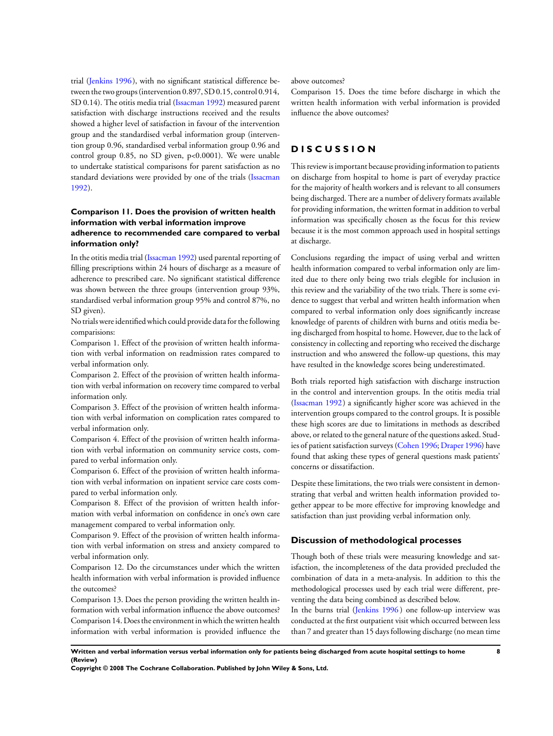trial ([Jenkins 1996](#page-11-0)), with no significant statistical difference between the two groups (intervention 0.897, SD 0.15, control 0.914, SD 0.14). The otitis media trial ([Issacman 1992\)](#page-11-0) measured parent satisfaction with discharge instructions received and the results showed a higher level of satisfaction in favour of the intervention group and the standardised verbal information group (intervention group 0.96, standardised verbal information group 0.96 and control group 0.85, no SD given, p<0.0001). We were unable to undertake statistical comparisons for parent satisfaction as no standard deviations were provided by one of the trials ([Issacman](#page-11-0) [1992](#page-11-0)).

## **Comparison 11. Does the provision of written health information with verbal information improve adherence to recommended care compared to verbal information only?**

In the otitis media trial [\(Issacman 1992\)](#page-11-0) used parental reporting of filling prescriptions within 24 hours of discharge as a measure of adherence to prescribed care. No significant statistical difference was shown between the three groups (intervention group 93%, standardised verbal information group 95% and control 87%, no SD given).

No trials were identified which could provide data for the following comparisions:

Comparison 1. Effect of the provision of written health information with verbal information on readmission rates compared to verbal information only.

Comparison 2. Effect of the provision of written health information with verbal information on recovery time compared to verbal information only.

Comparison 3. Effect of the provision of written health information with verbal information on complication rates compared to verbal information only.

Comparison 4. Effect of the provision of written health information with verbal information on community service costs, compared to verbal information only.

Comparison 6. Effect of the provision of written health information with verbal information on inpatient service care costs compared to verbal information only.

Comparison 8. Effect of the provision of written health information with verbal information on confidence in one's own care management compared to verbal information only.

Comparison 9. Effect of the provision of written health information with verbal information on stress and anxiety compared to verbal information only.

Comparison 12. Do the circumstances under which the written health information with verbal information is provided influence the outcomes?

Comparison 13. Does the person providing the written health information with verbal information influence the above outcomes? Comparison 14. Does the environment in which the written health information with verbal information is provided influence the above outcomes?

Comparison 15. Does the time before discharge in which the written health information with verbal information is provided influence the above outcomes?

# **D I S C U S S I O N**

This review is important because providing information to patients on discharge from hospital to home is part of everyday practice for the majority of health workers and is relevant to all consumers being discharged. There are a number of delivery formats available for providing information, the written format in addition to verbal information was specifically chosen as the focus for this review because it is the most common approach used in hospital settings at discharge.

Conclusions regarding the impact of using verbal and written health information compared to verbal information only are limited due to there only being two trials elegible for inclusion in this review and the variability of the two trials. There is some evidence to suggest that verbal and written health information when compared to verbal information only does significantly increase knowledge of parents of children with burns and otitis media being discharged from hospital to home. However, due to the lack of consistency in collecting and reporting who received the discharge instruction and who answered the follow-up questions, this may have resulted in the knowledge scores being underestimated.

Both trials reported high satisfaction with discharge instruction in the control and intervention groups. In the otitis media trial [\(Issacman 1992](#page-11-0)) a significantly higher score was achieved in the intervention groups compared to the control groups. It is possible these high scores are due to limitations in methods as described above, or related to the general nature of the questions asked. Studies of patient satisfaction surveys ([Cohen 1996;](#page-11-0) [Draper 1996](#page-11-0)) have found that asking these types of general questions mask patients' concerns or dissatifaction.

Despite these limitations, the two trials were consistent in demonstrating that verbal and written health information provided together appear to be more effective for improving knowledge and satisfaction than just providing verbal information only.

## **Discussion of methodological processes**

Though both of these trials were measuring knowledge and satisfaction, the incompleteness of the data provided precluded the combination of data in a meta-analysis. In addition to this the methodological processes used by each trial were different, preventing the data being combined as described below.

In the burns trial [\(Jenkins 1996](#page-11-0)) one follow-up interview was conducted at the first outpatient visit which occurred between less than 7 and greater than 15 days following discharge (no mean time

**Written and verbal information versus verbal information only for patients being discharged from acute hospital settings to home 8 (Review)**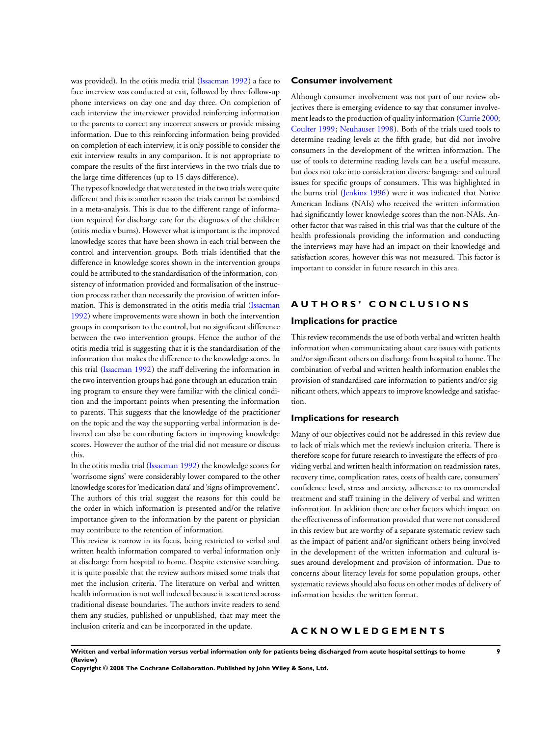was provided). In the otitis media trial [\(Issacman 1992](#page-11-0)) a face to face interview was conducted at exit, followed by three follow-up phone interviews on day one and day three. On completion of each interview the interviewer provided reinforcing information to the parents to correct any incorrect answers or provide missing information. Due to this reinforcing information being provided on completion of each interview, it is only possible to consider the exit interview results in any comparison. It is not appropriate to compare the results of the first interviews in the two trials due to the large time differences (up to 15 days difference).

The types of knowledge that were tested in the two trials were quite different and this is another reason the trials cannot be combined in a meta-analysis. This is due to the different range of information required for discharge care for the diagnoses of the children (otitis media v burns). However what is important is the improved knowledge scores that have been shown in each trial between the control and intervention groups. Both trials identified that the difference in knowledge scores shown in the intervention groups could be attributed to the standardisation of the information, consistency of information provided and formalisation of the instruction process rather than necessarily the provision of written information. This is demonstrated in the otitis media trial ([Issacman](#page-11-0) [1992](#page-11-0)) where improvements were shown in both the intervention groups in comparison to the control, but no significant difference between the two intervention groups. Hence the author of the otitis media trial is suggesting that it is the standardisation of the information that makes the difference to the knowledge scores. In this trial ([Issacman 1992](#page-11-0)) the staff delivering the information in the two intervention groups had gone through an education training program to ensure they were familiar with the clinical condition and the important points when presenting the information to parents. This suggests that the knowledge of the practitioner on the topic and the way the supporting verbal information is delivered can also be contributing factors in improving knowledge scores. However the author of the trial did not measure or discuss this.

In the otitis media trial [\(Issacman 1992\)](#page-11-0) the knowledge scores for 'worrisome signs' were considerably lower compared to the other knowledge scores for 'medication data' and 'signs of improvement'. The authors of this trial suggest the reasons for this could be the order in which information is presented and/or the relative importance given to the information by the parent or physician may contribute to the retention of information.

This review is narrow in its focus, being restricted to verbal and written health information compared to verbal information only at discharge from hospital to home. Despite extensive searching, it is quite possible that the review authors missed some trials that met the inclusion criteria. The literature on verbal and written health information is not well indexed because it is scattered across traditional disease boundaries. The authors invite readers to send them any studies, published or unpublished, that may meet the inclusion criteria and can be incorporated in the update.

### **Consumer involvement**

Although consumer involvement was not part of our review objectives there is emerging evidence to say that consumer involvement leads to the production of quality information [\(Currie 2000;](#page-11-0) [Coulter 1999](#page-11-0); [Neuhauser 1998](#page-11-0)). Both of the trials used tools to determine reading levels at the fifth grade, but did not involve consumers in the development of the written information. The use of tools to determine reading levels can be a useful measure, but does not take into consideration diverse language and cultural issues for specific groups of consumers. This was highlighted in the burns trial [\(Jenkins 1996](#page-11-0)) were it was indicated that Native American Indians (NAIs) who received the written information had significantly lower knowledge scores than the non-NAIs. Another factor that was raised in this trial was that the culture of the health professionals providing the information and conducting the interviews may have had an impact on their knowledge and satisfaction scores, however this was not measured. This factor is important to consider in future research in this area.

# **A U T H O R S ' C O N C L U S I O N S**

## **Implications for practice**

This review recommends the use of both verbal and written health information when communicating about care issues with patients and/or significant others on discharge from hospital to home. The combination of verbal and written health information enables the provision of standardised care information to patients and/or significant others, which appears to improve knowledge and satisfaction.

## **Implications for research**

Many of our objectives could not be addressed in this review due to lack of trials which met the review's inclusion criteria. There is therefore scope for future research to investigate the effects of providing verbal and written health information on readmission rates, recovery time, complication rates, costs of health care, consumers' confidence level, stress and anxiety, adherence to recommended treatment and staff training in the delivery of verbal and written information. In addition there are other factors which impact on the effectiveness of information provided that were not considered in this review but are worthy of a separate systematic review such as the impact of patient and/or significant others being involved in the development of the written information and cultural issues around development and provision of information. Due to concerns about literacy levels for some population groups, other systematic reviews should also focus on other modes of delivery of information besides the written format.

## **A C K N O W L E D G E M E N T S**

**Written and verbal information versus verbal information only for patients being discharged from acute hospital settings to home 9 (Review)**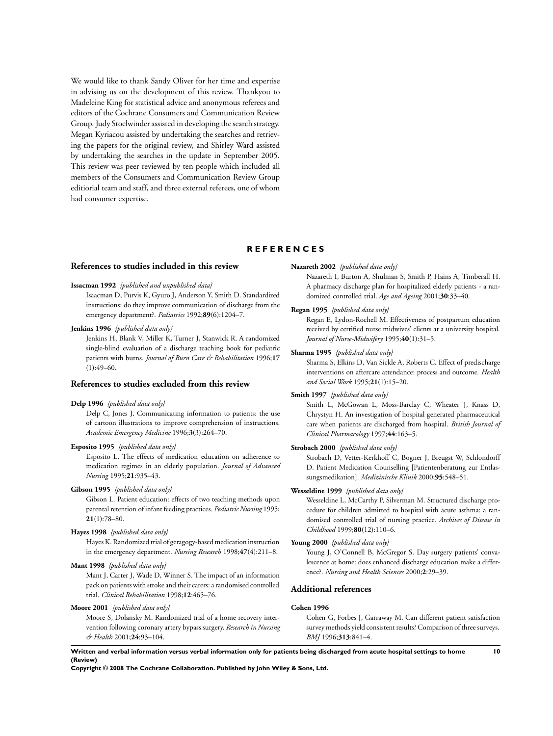<span id="page-11-0"></span>We would like to thank Sandy Oliver for her time and expertise in advising us on the development of this review. Thankyou to Madeleine King for statistical advice and anonymous referees and editors of the Cochrane Consumers and Communication Review Group. Judy Stoelwinder assisted in developing the search strategy. Megan Kyriacou assisted by undertaking the searches and retrieving the papers for the original review, and Shirley Ward assisted by undertaking the searches in the update in September 2005. This review was peer reviewed by ten people which included all members of the Consumers and Communication Review Group editiorial team and staff, and three external referees, one of whom had consumer expertise.

#### **R E F E R E N C E S**

## **References to studies included in this review**

#### **Issacman 1992** *{published and unpublished data}*

Isaacman D, Purvis K, Gyuro J, Anderson Y, Smith D. Standardized instructions: do they improve communication of discharge from the emergency department?. *Pediatrics* 1992;**89**(6):1204–7.

#### **Jenkins 1996** *{published data only}*

Jenkins H, Blank V, Miller K, Turner J, Stanwick R. A randomized single-blind evaluation of a discharge teaching book for pediatric patients with burns. *Journal of Burn Care & Rehabilitation* 1996;**17**  $(1):49-60.$ 

## **References to studies excluded from this review**

#### **Delp 1996** *{published data only}*

Delp C, Jones J. Communicating information to patients: the use of cartoon illustrations to improve comprehension of instructions. *Academic Emergency Medicine* 1996;**3**(3):264–70.

## **Esposito 1995** *{published data only}*

Esposito L. The effects of medication education on adherence to medication regimes in an elderly population. *Journal of Advanced Nursing* 1995;**21**:935–43.

## **Gibson 1995** *{published data only}*

Gibson L. Patient education: effects of two teaching methods upon parental retention of infant feeding practices. *Pediatric Nursing* 1995; **21**(1):78–80.

#### **Hayes 1998** *{published data only}*

Hayes K. Randomized trial of geragogy-based medication instruction in the emergency department. *Nursing Research* 1998;**47**(4):211–8.

#### **Mant 1998** *{published data only}*

Mant J, Carter J, Wade D, Winner S. The impact of an information pack on patients with stroke and their carers: a randomised controlled trial. *Clinical Rehabilitation* 1998;**12**:465–76.

## **Moore 2001** *{published data only}*

Moore S, Dolansky M. Randomized trial of a home recovery intervention following coronary artery bypass surgery. *Research in Nursing & Health* 2001;**24**:93–104.

#### **Nazareth 2002** *{published data only}*

Nazareth I, Burton A, Shulman S, Smith P, Hains A, Timberall H. A pharmacy discharge plan for hospitalized elderly patients - a randomized controlled trial. *Age and Ageing* 2001;**30**:33–40.

#### **Regan 1995** *{published data only}*

Regan E, Lydon-Rochell M. Effectiveness of postpartum education received by certified nurse midwives' clients at a university hospital. *Journal of Nurse-Midwifery* 1995;**40**(1):31–5.

#### **Sharma 1995** *{published data only}*

Sharma S, Elkins D, Van Sickle A, Roberts C. Effect of predischarge interventions on aftercare attendance: process and outcome. *Health and Social Work* 1995;**21**(1):15–20.

#### **Smith 1997** *{published data only}*

Smith L, McGowan L, Moss-Barclay C, Wheater J, Knass D, Chrystyn H. An investigation of hospital generated pharmaceutical care when patients are discharged from hospital. *British Journal of Clinical Pharmacology* 1997;**44**:163–5.

## **Strobach 2000** *{published data only}*

Strobach D, Vetter-Kerkhoff C, Bogner J, Breugst W, Schlondorff D. Patient Medication Counselling [Patientenberatung zur Entlassungsmedikation]. *Medizinische Klinik* 2000;**95**:548–51.

#### **Wesseldine 1999** *{published data only}*

Wesseldine L, McCarthy P, Silverman M. Structured discharge procedure for children admitted to hospital with acute asthma: a randomised controlled trial of nursing practice. *Archives of Disease in Childhood* 1999;**80**(12):110–6.

## **Young 2000** *{published data only}*

Young J, O'Connell B, McGregor S. Day surgery patients' convalescence at home: does enhanced discharge education make a difference?. *Nursing and Health Sciences* 2000;**2**:29–39.

## **Additional references**

#### **Cohen 1996**

Cohen G, Forbes J, Garraway M. Can different patient satisfaction survey methods yield consistent results? Comparison of three surveys. *BMJ* 1996;**313**:841–4.

**Written and verbal information versus verbal information only for patients being discharged from acute hospital settings to home 10 (Review)**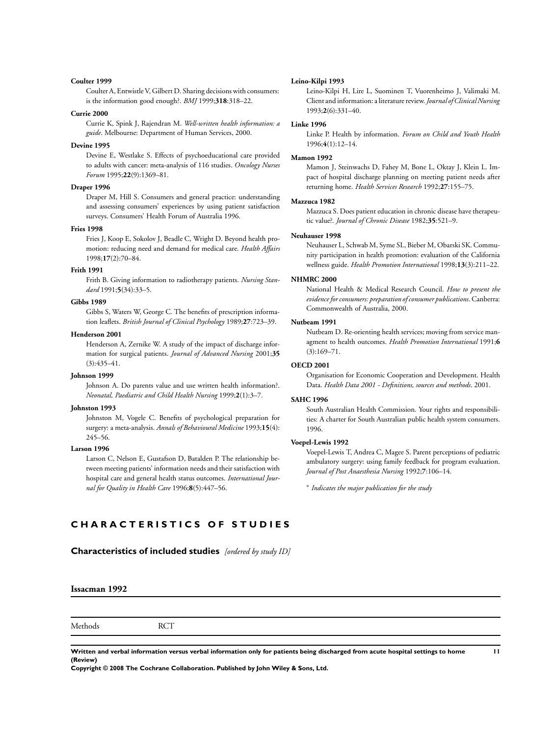#### <span id="page-12-0"></span>**Coulter 1999**

Coulter A, Entwistle V, Gilbert D. Sharing decisions with consumers: is the information good enough?. *BMJ* 1999;**318**:318–22.

#### **Currie 2000**

Currie K, Spink J, Rajendran M. *Well-written health information: a guide*. Melbourne: Department of Human Services, 2000.

#### **Devine 1995**

Devine E, Westlake S. Effects of psychoeducational care provided to adults with cancer: meta-analysis of 116 studies. *Oncology Nurses Forum* 1995;**22**(9):1369–81.

## **Draper 1996**

Draper M, Hill S. Consumers and general practice: understanding and assessing consumers' experiences by using patient satisfaction surveys. Consumers' Health Forum of Australia 1996.

#### **Fries 1998**

Fries J, Koop E, Sokolov J, Beadle C, Wright D. Beyond health promotion: reducing need and demand for medical care. *Health Affairs* 1998;**17**(2):70–84.

#### **Frith 1991**

Frith B. Giving information to radiotherapy patients. *Nursing Standard* 1991;**5**(34):33–5.

#### **Gibbs 1989**

Gibbs S, Waters W, George C. The benefits of prescription information leaflets. *British Journal of Clinical Psychology* 1989;**27**:723–39.

#### **Henderson 2001**

Henderson A, Zernike W. A study of the impact of discharge information for surgical patients. *Journal of Advanced Nursing* 2001;**35** (3):435–41.

#### **Johnson 1999**

Johnson A. Do parents value and use written health information?. *Neonatal, Paediatric and Child Health Nursing* 1999;**2**(1):3–7.

#### **Johnston 1993**

Johnston M, Vogele C. Benefits of psychological preparation for surgery: a meta-analysis. *Annals of Behavioural Medicine* 1993;**15**(4): 245–56.

#### **Larson 1996**

Larson C, Nelson E, Gustafson D, Batalden P. The relationship between meeting patients' information needs and their satisfaction with hospital care and general health status outcomes. *International Journal for Quality in Health Care* 1996;**8**(5):447–56.

# **C H A R A C T E R I S T I C S O F S T U D I E S**

**Characteristics of included studies** *[ordered by study ID]*

#### **Leino-Kilpi 1993**

Leino-Kilpi H, Lire L, Suominen T, Vuorenheimo J, Valimaki M. Client and information: a literature review.*Journal of Clinical Nursing* 1993;**2**(6):331–40.

#### **Linke 1996**

Linke P. Health by information. *Forum on Child and Youth Health* 1996;**4**(1):12–14.

#### **Mamon 1992**

Mamon J, Steinwachs D, Fahey M, Bone L, Oktay J, Klein L. Impact of hospital discharge planning on meeting patient needs after returning home. *Health Services Research* 1992;**27**:155–75.

#### **Mazzuca 1982**

Mazzuca S. Does patient education in chronic disease have therapeutic value?. *Journal of Chronic Disease* 1982;**35**:521–9.

#### **Neuhauser 1998**

Neuhauser L, Schwab M, Syme SL, Bieber M, Obarski SK. Community participation in health promotion: evaluation of the California wellness guide. *Health Promotion International* 1998;**13**(3):211–22.

#### **NHMRC 2000**

National Health & Medical Research Council. *How to present the evidence for consumers: preparation of consumer publications*. Canberra: Commonwealth of Australia, 2000.

## **Nutbeam 1991**

Nutbeam D. Re-orienting health services; moving from service managment to health outcomes. *Health Promotion International* 1991;**6** (3):169–71.

#### **OECD 2001**

Organisation for Economic Cooperation and Development. Health Data. *Health Data 2001 - Definitions, sources and methods*. 2001.

#### **SAHC 1996**

South Australian Health Commission. Your rights and responsibilities: A charter for South Australian public health system consumers. 1996.

## **Voepel-Lewis 1992**

Voepel-Lewis T, Andrea C, Magee S. Parent perceptions of pediatric ambulatory surgery: using family feedback for program evaluation. *Journal of Post Anaesthesia Nursing* 1992;**7**:106–14.

∗ *Indicates the major publication for the study*

| Issacman 1992 |  |
|---------------|--|
|---------------|--|

| <b>RCT</b> |  |  |
|------------|--|--|
|            |  |  |

**Written and verbal information versus verbal information only for patients being discharged from acute hospital settings to home 11 (Review)**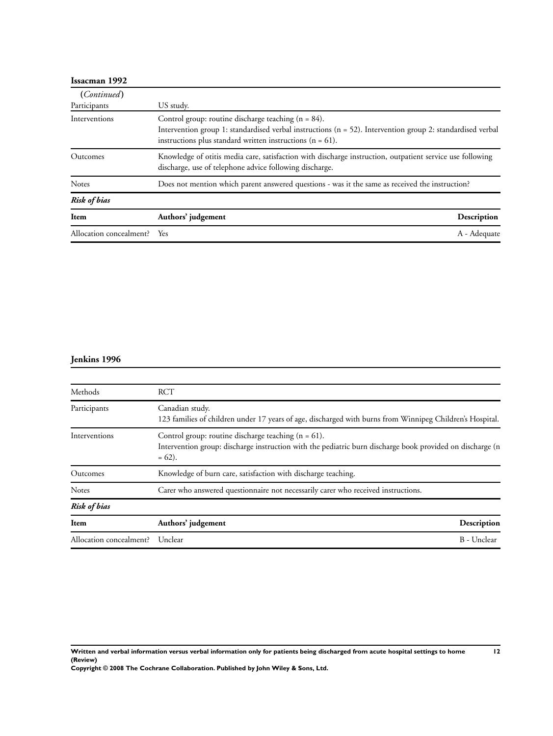| Issacman 1992               |                                                                                                                                                                                                                                          |              |
|-----------------------------|------------------------------------------------------------------------------------------------------------------------------------------------------------------------------------------------------------------------------------------|--------------|
| (Continued)<br>Participants | US study.                                                                                                                                                                                                                                |              |
| Interventions               | Control group: routine discharge teaching $(n = 84)$ .<br>Intervention group 1: standardised verbal instructions ( $n = 52$ ). Intervention group 2: standardised verbal<br>instructions plus standard written instructions $(n = 61)$ . |              |
| Outcomes                    | Knowledge of otitis media care, satisfaction with discharge instruction, outpatient service use following<br>discharge, use of telephone advice following discharge.                                                                     |              |
| <b>Notes</b>                | Does not mention which parent answered questions - was it the same as received the instruction?                                                                                                                                          |              |
| <b>Risk of bias</b>         |                                                                                                                                                                                                                                          |              |
| Item                        | Authors' judgement                                                                                                                                                                                                                       | Description  |
| Allocation concealment?     | Yes                                                                                                                                                                                                                                      | A - Adequate |

# **Jenkins 1996**

| Methods                 | <b>RCT</b>                                                                                                                                                                       |             |
|-------------------------|----------------------------------------------------------------------------------------------------------------------------------------------------------------------------------|-------------|
| Participants            | Canadian study.<br>123 families of children under 17 years of age, discharged with burns from Winnipeg Children's Hospital.                                                      |             |
| Interventions           | Control group: routine discharge teaching $(n = 61)$ .<br>Intervention group: discharge instruction with the pediatric burn discharge book provided on discharge (n<br>$= 62$ ). |             |
| Outcomes                | Knowledge of burn care, satisfaction with discharge teaching.                                                                                                                    |             |
| <b>Notes</b>            | Carer who answered questionnaire not necessarily carer who received instructions.                                                                                                |             |
| <b>Risk of bias</b>     |                                                                                                                                                                                  |             |
| Item                    | Authors' judgement                                                                                                                                                               | Description |
| Allocation concealment? | Unclear                                                                                                                                                                          | B - Unclear |

**Written and verbal information versus verbal information only for patients being discharged from acute hospital settings to home 12 (Review)**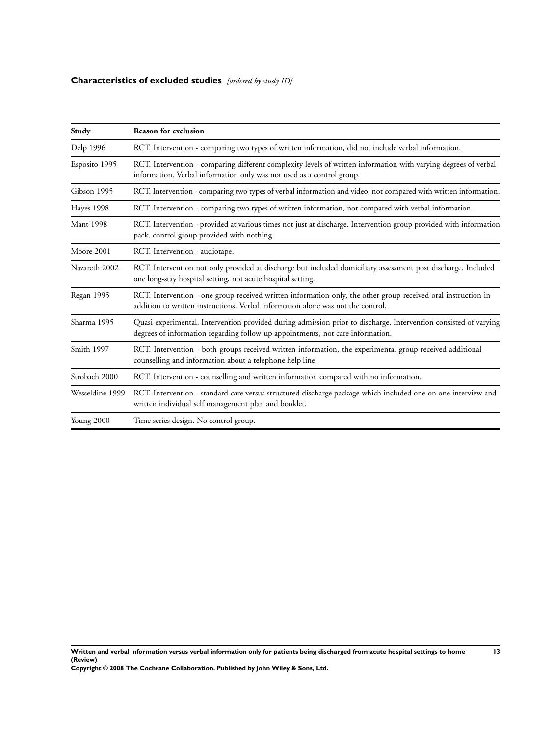# <span id="page-14-0"></span>**Characteristics of excluded studies** *[ordered by study ID]*

| Study            | <b>Reason for exclusion</b>                                                                                                                                                                        |
|------------------|----------------------------------------------------------------------------------------------------------------------------------------------------------------------------------------------------|
| Delp 1996        | RCT. Intervention - comparing two types of written information, did not include verbal information.                                                                                                |
| Esposito 1995    | RCT. Intervention - comparing different complexity levels of written information with varying degrees of verbal<br>information. Verbal information only was not used as a control group.           |
| Gibson 1995      | RCT. Intervention - comparing two types of verbal information and video, not compared with written information.                                                                                    |
| Hayes 1998       | RCT. Intervention - comparing two types of written information, not compared with verbal information.                                                                                              |
| <b>Mant 1998</b> | RCT. Intervention - provided at various times not just at discharge. Intervention group provided with information<br>pack, control group provided with nothing.                                    |
| Moore 2001       | RCT. Intervention - audiotape.                                                                                                                                                                     |
| Nazareth 2002    | RCT. Intervention not only provided at discharge but included domiciliary assessment post discharge. Included<br>one long-stay hospital setting, not acute hospital setting.                       |
| Regan 1995       | RCT. Intervention - one group received written information only, the other group received oral instruction in<br>addition to written instructions. Verbal information alone was not the control.   |
| Sharma 1995      | Quasi-experimental. Intervention provided during admission prior to discharge. Intervention consisted of varying<br>degrees of information regarding follow-up appointments, not care information. |
| Smith 1997       | RCT. Intervention - both groups received written information, the experimental group received additional<br>counselling and information about a telephone help line.                               |
| Strobach 2000    | RCT. Intervention - counselling and written information compared with no information.                                                                                                              |
| Wesseldine 1999  | RCT. Intervention - standard care versus structured discharge package which included one on one interview and<br>written individual self management plan and booklet.                              |
| Young 2000       | Time series design. No control group.                                                                                                                                                              |

**Written and verbal information versus verbal information only for patients being discharged from acute hospital settings to home 13 (Review)**

**Copyright © 2008 The Cochrane Collaboration. Published by John Wiley & Sons, Ltd.**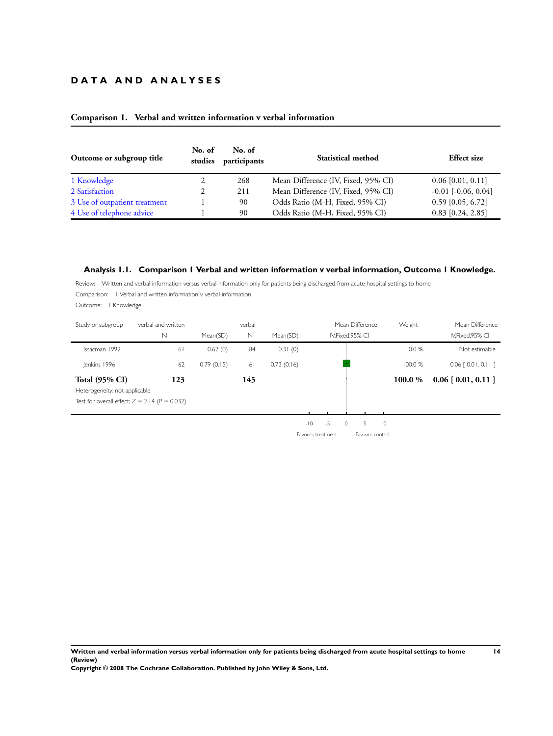# **D A T A A N D A N A L Y S E S**

| Outcome or subgroup title     | No. of<br>studies | No. of<br>participants | <b>Statistical method</b>           | <b>Effect</b> size      |
|-------------------------------|-------------------|------------------------|-------------------------------------|-------------------------|
| 1 Knowledge                   |                   | 268                    | Mean Difference (IV, Fixed, 95% CI) | $0.06$ [0.01, 0.11]     |
| 2 Satisfaction                |                   | 211                    | Mean Difference (IV, Fixed, 95% CI) | $-0.01$ $[-0.06, 0.04]$ |
| 3 Use of outpatient treatment |                   | 90                     | Odds Ratio (M-H, Fixed, 95% CI)     | $0.59$ [0.05, 6.72]     |
| 4 Use of telephone advice     |                   | 90                     | Odds Ratio (M-H, Fixed, 95% CI)     | $0.83$ [0.24, 2.85]     |

## **Comparison 1. Verbal and written information v verbal information**

## **Analysis 1.1. Comparison 1 Verbal and written information v verbal information, Outcome 1 Knowledge.**

Review: Written and verbal information versus verbal information only for patients being discharged from acute hospital settings to home Comparison: 1 Verbal and written information v verbal information Outcome: 1 Knowledge

j.

 $\overline{a}$ 

| Study or subgroup                               | verbal and written                                     |            | verbal     |            | Mean Difference    |                   | Weight  | Mean Difference            |
|-------------------------------------------------|--------------------------------------------------------|------------|------------|------------|--------------------|-------------------|---------|----------------------------|
|                                                 | $\hbox{N}$                                             | Mean(SD)   | $\hbox{N}$ | Mean(SD)   |                    | IV, Fixed, 95% CI |         | IV, Fixed, 95% CI          |
| Issacman 1992                                   | 61                                                     | 0.62(0)    | 84         | 0.31(0)    |                    |                   | 0.0 %   | Not estimable              |
| Jenkins 1996                                    | 62                                                     | 0.79(0.15) | 61         | 0.73(0.16) |                    |                   | 100.0 % | $0.06$ $[0.01, 0.11]$      |
| Total (95% CI)<br>Heterogeneity: not applicable | 123<br>Test for overall effect: $Z = 2.14$ (P = 0.032) |            | 145        |            |                    |                   | 100.0%  | $0.06$ [ $0.01$ , $0.11$ ] |
|                                                 |                                                        |            |            |            |                    |                   |         |                            |
|                                                 |                                                        |            |            |            | $-5$<br>$-10$<br>0 | 5<br>$ 0\rangle$  |         |                            |
|                                                 |                                                        |            |            |            | Favours treatment  | Favours control   |         |                            |
|                                                 |                                                        |            |            |            |                    |                   |         |                            |
|                                                 |                                                        |            |            |            |                    |                   |         |                            |
|                                                 |                                                        |            |            |            |                    |                   |         |                            |
|                                                 |                                                        |            |            |            |                    |                   |         |                            |
|                                                 |                                                        |            |            |            |                    |                   |         |                            |
|                                                 |                                                        |            |            |            |                    |                   |         |                            |
|                                                 |                                                        |            |            |            |                    |                   |         |                            |
|                                                 |                                                        |            |            |            |                    |                   |         |                            |
|                                                 |                                                        |            |            |            |                    |                   |         |                            |
|                                                 |                                                        |            |            |            |                    |                   |         |                            |

**Copyright © 2008 The Cochrane Collaboration. Published by John Wiley & Sons, Ltd.**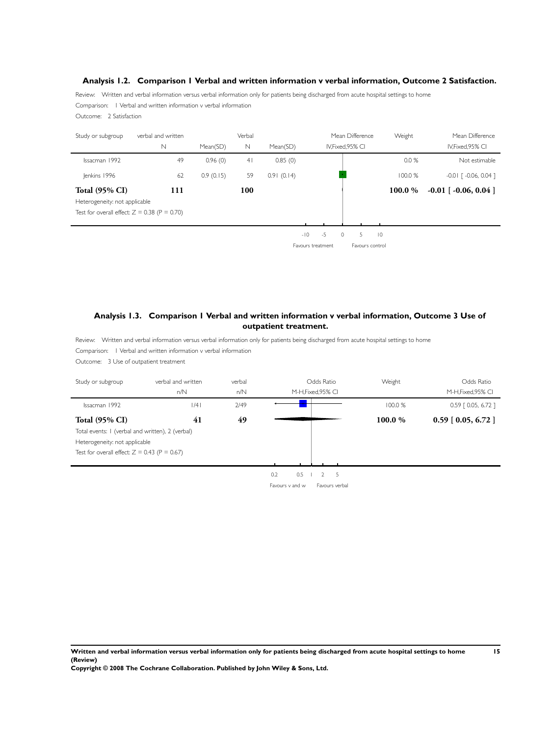## <span id="page-16-0"></span>**Analysis 1.2. Comparison 1 Verbal and written information v verbal information, Outcome 2 Satisfaction.**

Review: Written and verbal information versus verbal information only for patients being discharged from acute hospital settings to home Comparison: 1 Verbal and written information v verbal information Outcome: 2 Satisfaction

| Study or subgroup                                                                                        | verbal and written |           | Verbal         |            |                                    | Mean Difference                                | Weight  | Mean Difference                     |
|----------------------------------------------------------------------------------------------------------|--------------------|-----------|----------------|------------|------------------------------------|------------------------------------------------|---------|-------------------------------------|
|                                                                                                          | $\mathbb N$        | Mean(SD)  | N              | Mean(SD)   |                                    | IV, Fixed, 95% CI                              |         | IV, Fixed, 95% CI                   |
| Issacman 1992                                                                                            | 49                 | 0.96(0)   | 4 <sub>1</sub> | 0.85(0)    |                                    |                                                | 0.0%    | Not estimable                       |
| Jenkins 1996                                                                                             | 62                 | 0.9(0.15) | 59             | 0.91(0.14) |                                    |                                                | 100.0 % | $-0.01$ $\lceil -0.06, 0.04 \rceil$ |
| <b>Total (95% CI)</b><br>Heterogeneity: not applicable<br>Test for overall effect: $Z = 0.38$ (P = 0.70) | 111                |           | 100            |            |                                    |                                                | 100.0%  | $-0.01$ [ $-0.06$ , 0.04 ]          |
|                                                                                                          |                    |           |                |            | $-5$<br>$-10$<br>Favours treatment | 5<br>$ 0\rangle$<br>$\circ$<br>Favours control |         |                                     |

## **Analysis 1.3. Comparison 1 Verbal and written information v verbal information, Outcome 3 Use of outpatient treatment.**

Review: Written and verbal information versus verbal information only for patients being discharged from acute hospital settings to home Comparison: 1 Verbal and written information v verbal information

Outcome: 3 Use of outpatient treatment

| Study or subgroup                                                                                                                   | verbal and written<br>$n/N$ | verbal<br>$n/N$ | Odds Ratio<br>M-H,Fixed,95% CI |                   | Weight  | Odds Ratio<br>M-H,Fixed,95% CI |
|-------------------------------------------------------------------------------------------------------------------------------------|-----------------------------|-----------------|--------------------------------|-------------------|---------|--------------------------------|
| Issacman 1992                                                                                                                       | /4                          | 2/49            |                                |                   | 100.0 % | 0.59 [ 0.05, 6.72 ]            |
| <b>Total (95% CI)</b>                                                                                                               | 41                          | 49              |                                |                   | 100.0%  | $0.59$ [ $0.05, 6.72$ ]        |
| Total events: I (verbal and written), 2 (verbal)<br>Heterogeneity: not applicable<br>Test for overall effect: $Z = 0.43$ (P = 0.67) |                             |                 |                                |                   |         |                                |
|                                                                                                                                     |                             |                 | 0.2<br>0.5                     | $\mathbf{2}$<br>5 |         |                                |
|                                                                                                                                     |                             |                 | Favours v and w                | Favours verbal    |         |                                |
|                                                                                                                                     |                             |                 |                                |                   |         |                                |
|                                                                                                                                     |                             |                 |                                |                   |         |                                |
|                                                                                                                                     |                             |                 |                                |                   |         |                                |
|                                                                                                                                     |                             |                 |                                |                   |         |                                |
|                                                                                                                                     |                             |                 |                                |                   |         |                                |
|                                                                                                                                     |                             |                 |                                |                   |         |                                |
|                                                                                                                                     |                             |                 |                                |                   |         |                                |
|                                                                                                                                     |                             |                 |                                |                   |         |                                |
|                                                                                                                                     |                             |                 |                                |                   |         |                                |
|                                                                                                                                     |                             |                 |                                |                   |         |                                |
|                                                                                                                                     |                             |                 |                                |                   |         |                                |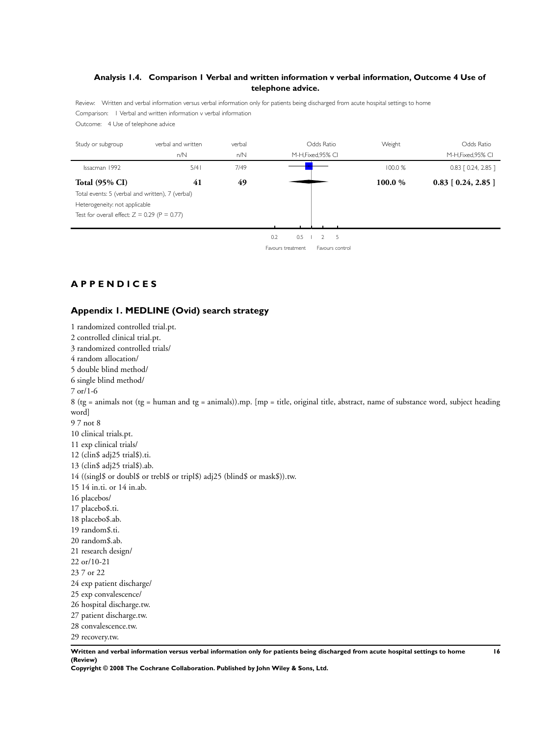## <span id="page-17-0"></span>**Analysis 1.4. Comparison 1 Verbal and written information v verbal information, Outcome 4 Use of telephone advice.**

Review: Written and verbal information versus verbal information only for patients being discharged from acute hospital settings to home Comparison: 1 Verbal and written information v verbal information Outcome: 4 Use of telephone advice

| Study or subgroup                                | verbal and written | verbal |     |                   | Odds Ratio         | Weight  | Odds Ratio            |
|--------------------------------------------------|--------------------|--------|-----|-------------------|--------------------|---------|-----------------------|
|                                                  | n/N                | n/N    |     |                   | M-H.Fixed.95% CI   |         | M-H, Fixed, 95% CI    |
| Issacman 1992                                    | 5/41               | 7/49   |     |                   |                    | 100.0%  | $0.83$ $[0.24, 2.85]$ |
| <b>Total (95% CI)</b>                            | 41                 | 49     |     |                   |                    | 100.0 % | $0.83$ [ 0.24, 2.85 ] |
| Total events: 5 (verbal and written), 7 (verbal) |                    |        |     |                   |                    |         |                       |
| Heterogeneity: not applicable                    |                    |        |     |                   |                    |         |                       |
| Test for overall effect: $Z = 0.29$ (P = 0.77)   |                    |        |     |                   |                    |         |                       |
|                                                  |                    |        |     |                   |                    |         |                       |
|                                                  |                    |        | 0.2 | 0.5               | 5<br>$\mathcal{P}$ |         |                       |
|                                                  |                    |        |     | Favours treatment | Favours control    |         |                       |

# **A P P E N D I C E S**

## **Appendix 1. MEDLINE (Ovid) search strategy**

1 randomized controlled trial.pt. 2 controlled clinical trial.pt. 3 randomized controlled trials/ 4 random allocation/ 5 double blind method/ 6 single blind method/ 7 or/1-6  $8$  (tg = animals not (tg = human and tg = animals)).mp. [mp = title, original title, abstract, name of substance word, subject heading word] 9 7 not 8 10 clinical trials.pt. 11 exp clinical trials/ 12 (clin\$ adj25 trial\$).ti. 13 (clin\$ adj25 trial\$).ab. 14 ((singl\$ or doubl\$ or trebl\$ or tripl\$) adj25 (blind\$ or mask\$)).tw. 15 14 in.ti. or 14 in.ab. 16 placebos/ 17 placebo\$.ti. 18 placebo\$.ab. 19 random\$.ti. 20 random\$.ab. 21 research design/ 22 or/10-21 23 7 or 22 24 exp patient discharge/ 25 exp convalescence/ 26 hospital discharge.tw. 27 patient discharge.tw. 28 convalescence.tw. 29 recovery.tw.

**Written and verbal information versus verbal information only for patients being discharged from acute hospital settings to home 16 (Review)**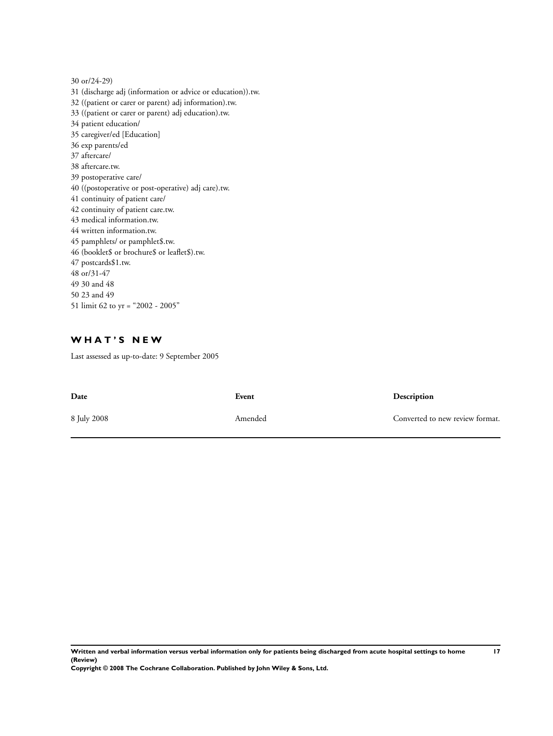30 or/24-29) 31 (discharge adj (information or advice or education)).tw. 32 ((patient or carer or parent) adj information).tw. 33 ((patient or carer or parent) adj education).tw. 34 patient education/ 35 caregiver/ed [Education] 36 exp parents/ed 37 aftercare/ 38 aftercare.tw. 39 postoperative care/ 40 ((postoperative or post-operative) adj care).tw. 41 continuity of patient care/ 42 continuity of patient care.tw. 43 medical information.tw. 44 written information.tw. 45 pamphlets/ or pamphlet\$.tw. 46 (booklet\$ or brochure\$ or leaflet\$).tw. 47 postcards\$1.tw. 48 or/31-47 49 30 and 48 50 23 and 49 51 limit 62 to yr = "2002 - 2005"

# **W H A T ' S N E W**

Last assessed as up-to-date: 9 September 2005

| Date        | Event   | Description                     |
|-------------|---------|---------------------------------|
| 8 July 2008 | Amended | Converted to new review format. |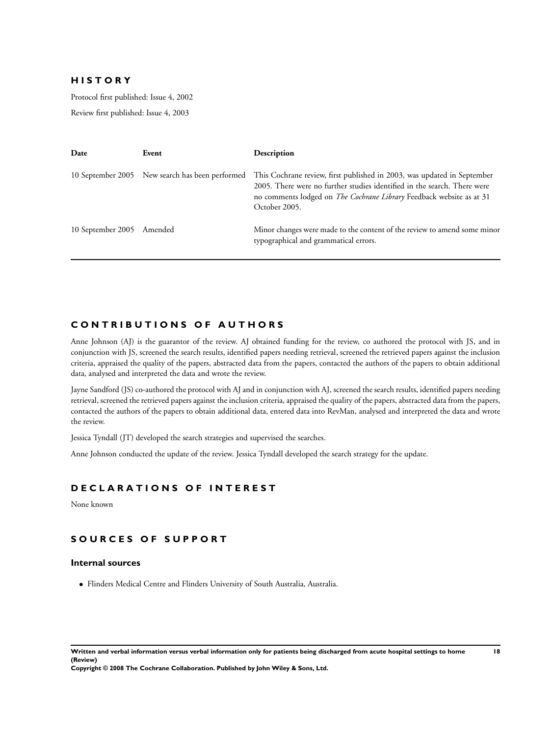## **H I S T O R Y**

Protocol first published: Issue 4, 2002

Review first published: Issue 4, 2003

| Date                      | Event                                           | Description                                                                                                                                                                                                                                         |
|---------------------------|-------------------------------------------------|-----------------------------------------------------------------------------------------------------------------------------------------------------------------------------------------------------------------------------------------------------|
|                           | 10 September 2005 New search has been performed | This Cochrane review, first published in 2003, was updated in September<br>2005. There were no further studies identified in the search. There were<br>no comments lodged on <i>The Cochrane Library</i> Feedback website as at 31<br>October 2005. |
| 10 September 2005 Amended |                                                 | Minor changes were made to the content of the review to amend some minor<br>typographical and grammatical errors.                                                                                                                                   |

# **C O N T R I B U T I O N S O F A U T H O R S**

Anne Johnson (AJ) is the guarantor of the review. AJ obtained funding for the review, co authored the protocol with JS, and in conjunction with JS, screened the search results, identified papers needing retrieval, screened the retrieved papers against the inclusion criteria, appraised the quality of the papers, abstracted data from the papers, contacted the authors of the papers to obtain additional data, analysed and interpreted the data and wrote the review.

Jayne Sandford (JS) co-authored the protocol with AJ and in conjunction with AJ, screened the search results, identified papers needing retrieval, screened the retrieved papers against the inclusion criteria, appraised the quality of the papers, abstracted data from the papers, contacted the authors of the papers to obtain additional data, entered data into RevMan, analysed and interpreted the data and wrote the review.

Jessica Tyndall (JT) developed the search strategies and supervised the searches.

Anne Johnson conducted the update of the review. Jessica Tyndall developed the search strategy for the update.

## **D E C L A R A T I O N S O F I N T E R E S T**

None known

# **S O U R C E S O F S U P P O R T**

## **Internal sources**

• Flinders Medical Centre and Flinders University of South Australia, Australia.